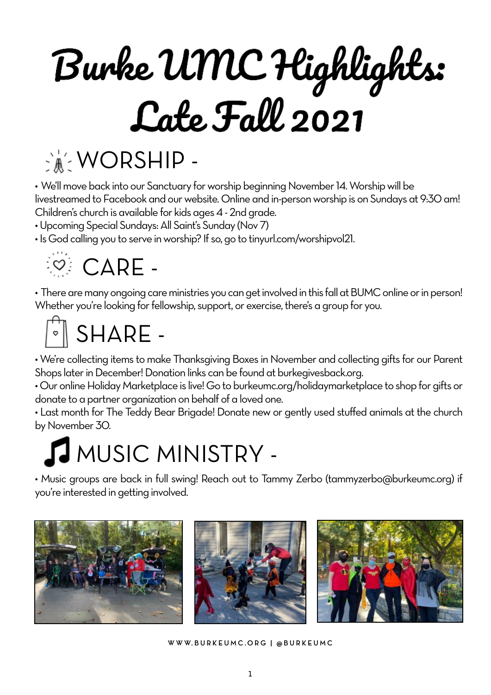# Burke UMC Highlights:<br>Cate Fall 2021



• We'll move back into our Sanctuary for worship beginning November 14. Worship will be livestreamed to Facebook and our website. Online and in-person worship is on Sundays at 9:30 am! Children's church is available for kids ages 4 - 2nd grade.

• Upcoming Special Sundays: All Saint's Sunday (Nov 7)

• Is God calling you to serve in worship? If so, go to tinyurl.com/worshipvol21.



• There are many ongoing care ministries you can get involved in this fall at BUMC online or in person! Whether you're looking for fellowship, support, or exercise, there's a group for you.

### $\sqrt[s]{}$  SHARE -

• We're collecting items to make Thanksgiving Boxes in November and collecting gifts for our Parent Shops later in December! Donation links can be found at burkegivesback.org.

• Our online Holiday Marketplace is live! Go to burkeumc.org/holidaymarketplace to shop for gifts or donate to a partner organization on behalf of a loved one.

• Last month for The Teddy Bear Brigade! Donate new or gently used stuffed animals at the church by November 30.

### MUSIC MINISTRY -

• Music groups are back in full swing! Reach out to Tammy Zerbo (tammyzerbo@burkeumc.org) if you're interested in getting involved.







**W W W. B U R K E U M C .O R G | @ B U R K E U M C**